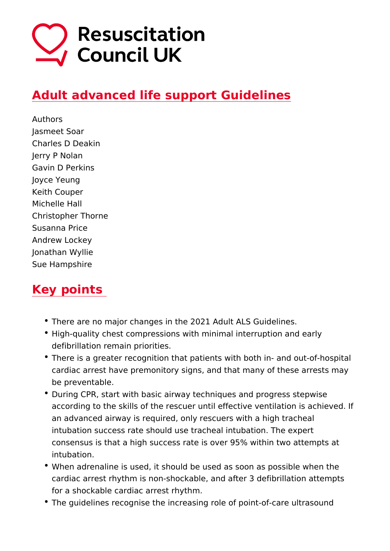## [Adult advanced life support Gu](https://www.resus.org.uk/library/2021-resuscitation-guidelines/adult-advanced-life-support-guidelines)idelines

Authors Jasmeet Soar Charles D Deakin Jerry P Nolan Gavin D Perkins Joyce Yeung Keith Couper Michelle Hall Christopher Thorne Susanna Price Andrew Lockey Jonathan Wyllie Sue Hampshire

## Key points

- There are no major changes in the 2021 Adult ALS Guidelin
- High-quality chest compressions with minimal interruption a defibrillation remain priorities.
- There is a greater recognition that patients with both in- an cardiac arrest have premonitory signs, and that many of the be preventable.
- During CPR, start with basic airway techniques and progress according to the skills of the rescuer until effective ventilat an advanced airway is required, only rescuers with a high tr intubation success rate should use tracheal intubation. The consensus is that a high success rate is over 95% within tw intubation.
- \* When adrenaline is used, it should be used as soon as poss cardiac arrest rhythm is non-shockable, and after 3 defibrill for a shockable cardiac arrest rhythm.
- \* The guidelines recognise the increasing role of point-of-car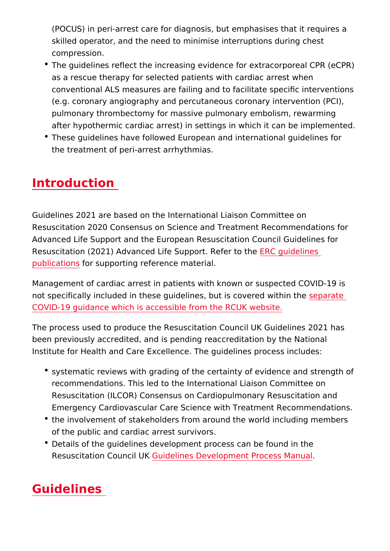(POCUS) in peri-arrest care for diagnosis, but emphasises that skilled operator, and the need to minimise interruptions dur compression.

- The guidelines reflect the increasing evidence for extracorp as a rescue therapy for selected patients with cardiac arres conventional ALS measures are failing and to facilitate spec (e.g. coronary angiography and percutaneous coronary inter pulmonary thrombectomy for massive pulmonary embolism, r after hypothermic cardiac arrest) in settings in which it can
- These guidelines have followed European and international the treatment of peri-arrest arrhythmias.

### Introduction

Guidelines 2021 are based on the International Liaison Committ Resuscitation 2020 Consensus on Science and Treatment Recom Advanced Life Support and the European Resuscitation Council Resuscitation (2021) Advanced Life SuppERtC geletelinetshe [publicati](https://cprguidelines.eu/)ons supporting reference material.

Management of cardiac arrest in patients with known or suspect not specifically included in these guidelines, but  $\mathbf s$  pozorvadeed wit [COVID-19 guidance which is accessible from](https://www.resus.org.uk/covid-19-resources) the RCUK website.

The process used to produce the Resuscitation Council UK Guid been previously accredited, and is pending reaccreditation by t Institute for Health and Care Excellence. The guidelines proces

- systematic reviews with grading of the certainty of evidence recommendations. This led to the International Liaison Comi Resuscitation (ILCOR) Consensus on Cardiopulmonary Resus Emergency Cardiovascular Care Science with Treatment Rec
- the involvement of stakeholders from around the world inclu of the public and cardiac arrest survivors.
- Details of the quidelines development process can be found Resuscitation Couccild Ulknes Development Process Manual

# Guidelines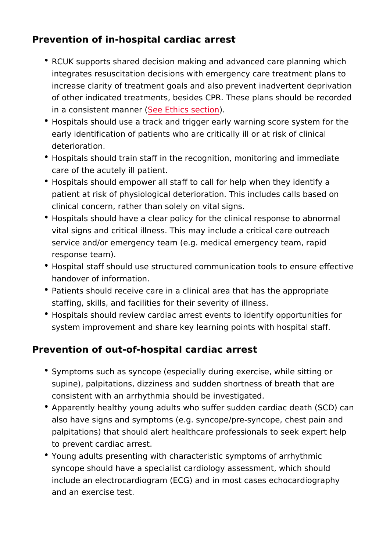Prevention of in-hospital cardiac arrest

- RCUK supports shared decision making and advanced care p integrates resuscitation decisions with emergency care treat increase clarity of treatment goals and also prevent inadver of other indicated treatments, besides CPR. These plans sho in a consistent  $m$   $\delta$   $\theta$   $\theta$   $\epsilon$   $\delta$   $\epsilon$   $\delta$   $\delta$   $\epsilon$   $\delta$   $\delta$   $\epsilon$   $\delta$   $\delta$   $\delta$
- Hospitals should use a track and trigger early warning score early identification of patients who are critically ill or at ris deterioration.
- Hospitals should train staff in the recognition, monitoring a care of the acutely ill patient.
- Hospitals should empower all staff to call for help when the patient at risk of physiological deterioration. This includes clinical concern, rather than solely on vital signs.
- Hospitals should have a clear policy for the clinical respons vital signs and critical illness. This may include a critical c service and/or emergency team (e.g. medical emergency tea response team).
- Hospital staff should use structured communication tools to handover of information.
- Patients should receive care in a clinical area that has the staffing, skills, and facilities for their severity of illness.
- Hospitals should review cardiac arrest events to identify op system improvement and share key learning points with hosp

Prevention of out-of-hospital cardiac arrest

- Symptoms such as syncope (especially during exercise, whil supine), palpitations, dizziness and sudden shortness of breath that consistent with an arrhythmia should be investigated.
- Apparently healthy young adults who suffer sudden cardiac also have signs and symptoms (e.g. syncope/pre-syncope, c palpitations) that should alert healthcare professionals to s to prevent cardiac arrest.
- \* Young adults presenting with characteristic symptoms of arr syncope should have a specialist cardiology assessment, wh include an electrocardiogram (ECG) and in most cases echoe and an exercise test.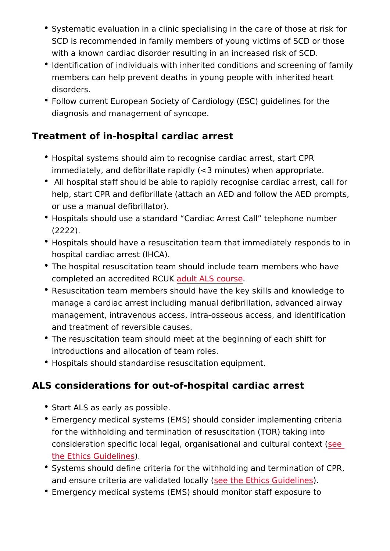- Systematic evaluation in a clinic specialising in the care of SCD is recommended in family members of young victims of with a known cardiac disorder resulting in an increased risk
- $\bullet$  Identification of individuals with inherited conditions and sc members can help prevent deaths in young people with inher disorders.
- Follow current European Society of Cardiology (ESC) guidel diagnosis and management of syncope.

Treatment of in-hospital cardiac arrest

- Hospital systems should aim to recognise cardiac arrest, sta  $imm$  ediately, and defibrillate rapidly ( $<$ 3 minutes) when appi
- All hospital staff should be able to rapidly recognise cardia help, start CPR and defibrillate (attach an AED and follow the or use a manual defibrillator).
- Hospitals should use a standard Cardiac Arrest Call teleph (2222).
- Hospitals should have a resuscitation team that immediately hospital cardiac arrest (IHCA).
- The hospital resuscitation team should include team member completed an accredited RCUKS course
- Resuscitation team members should have the key skills and manage a cardiac arrest including manual defibrillation, adv management, intravenous access, intra-osseous access, and and treatment of reversible causes.
- The resuscitation team should meet at the beginning of each introductions and allocation of team roles.
- Hospitals should standardise resuscitation equipment.

ALS considerations for out-of-hospital cardiac arrest

- Start ALS as early as possible.
- Emergency medical systems (EMS) should consider implemer for the withholding and termination of resuscitation (TOR) taking into consideration specific local legal, organisational seemed cultur [the Ethics Guid](https://www.resus.org.uk/library/2021-resuscitation-guidelines/ethics-guidelines)elines
- Systems should define criteria for the withholding and termi and ensure criteria are validateed those  $\Xi$ thics Guidelines
- Emergency medical systems (EMS) should monitor staff expo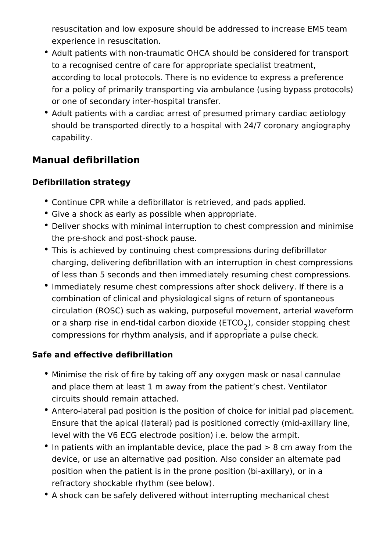resuscitation and low exposure should be addressed to increase EMS team experience in resuscitation.

- Adult patients with non-traumatic OHCA should be considered for transport to a recognised centre of care for appropriate specialist treatment, according to local protocols. There is no evidence to express a preference for a policy of primarily transporting via ambulance (using bypass protocols) or one of secondary inter-hospital transfer.
- Adult patients with a cardiac arrest of presumed primary cardiac aetiology should be transported directly to a hospital with 24/7 coronary angiography capability.

### **Manual defibrillation**

#### **Defibrillation strategy**

- Continue CPR while a defibrillator is retrieved, and pads applied.
- Give a shock as early as possible when appropriate.
- Deliver shocks with minimal interruption to chest compression and minimise the pre-shock and post-shock pause.
- This is achieved by continuing chest compressions during defibrillator charging, delivering defibrillation with an interruption in chest compressions of less than 5 seconds and then immediately resuming chest compressions.
- Immediately resume chest compressions after shock delivery. If there is a combination of clinical and physiological signs of return of spontaneous circulation (ROSC) such as waking, purposeful movement, arterial waveform or a sharp rise in end-tidal carbon dioxide (ETCO<sub>2</sub>), consider stopping chest compressions for rhythm analysis, and if appropriate a pulse check.

#### **Safe and effective defibrillation**

- Minimise the risk of fire by taking off any oxygen mask or nasal cannulae and place them at least 1 m away from the patient's chest. Ventilator circuits should remain attached.
- Antero-lateral pad position is the position of choice for initial pad placement. Ensure that the apical (lateral) pad is positioned correctly (mid-axillary line, level with the V6 ECG electrode position) i.e. below the armpit.
- $\bullet$  In patients with an implantable device, place the pad  $> 8$  cm away from the device, or use an alternative pad position. Also consider an alternate pad position when the patient is in the prone position (bi-axillary), or in a refractory shockable rhythm (see below).
- A shock can be safely delivered without interrupting mechanical chest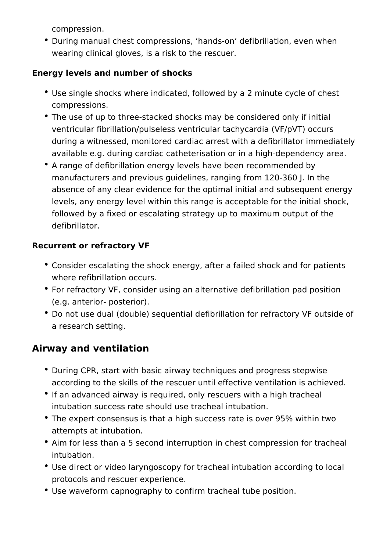compression.

During manual chest compressions, 'hands-on' defibrillation, even when wearing clinical gloves, is a risk to the rescuer.

#### **Energy levels and number of shocks**

- Use single shocks where indicated, followed by a 2 minute cycle of chest compressions.
- The use of up to three-stacked shocks may be considered only if initial ventricular fibrillation/pulseless ventricular tachycardia (VF/pVT) occurs during a witnessed, monitored cardiac arrest with a defibrillator immediately available e.g. during cardiac catheterisation or in a high-dependency area.
- A range of defibrillation energy levels have been recommended by manufacturers and previous guidelines, ranging from 120-360 J. In the absence of any clear evidence for the optimal initial and subsequent energy levels, any energy level within this range is acceptable for the initial shock, followed by a fixed or escalating strategy up to maximum output of the defibrillator.

#### **Recurrent or refractory VF**

- Consider escalating the shock energy, after a failed shock and for patients where refibrillation occurs.
- For refractory VF, consider using an alternative defibrillation pad position (e.g. anterior- posterior).
- Do not use dual (double) sequential defibrillation for refractory VF outside of a research setting.

### **Airway and ventilation**

- During CPR, start with basic airway techniques and progress stepwise according to the skills of the rescuer until effective ventilation is achieved.
- If an advanced airway is required, only rescuers with a high tracheal intubation success rate should use tracheal intubation.
- The expert consensus is that a high success rate is over 95% within two attempts at intubation.
- Aim for less than a 5 second interruption in chest compression for tracheal intubation.
- Use direct or video laryngoscopy for tracheal intubation according to local protocols and rescuer experience.
- Use waveform capnography to confirm tracheal tube position.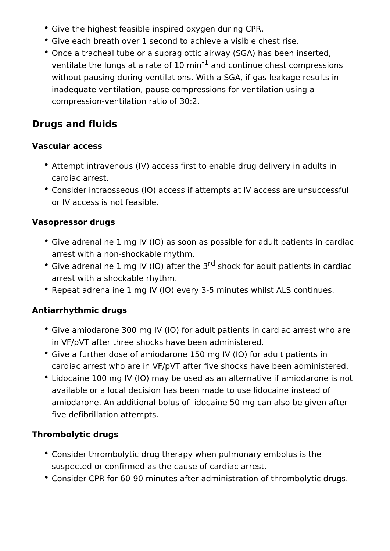- Give the highest feasible inspired oxygen during CPR.
- Give each breath over 1 second to achieve a visible chest rise.
- Once a tracheal tube or a supraglottic airway (SGA) has been inserted, ventilate the lungs at a rate of 10  $\text{min}^{-1}$  and continue chest compressions without pausing during ventilations. With a SGA, if gas leakage results in inadequate ventilation, pause compressions for ventilation using a compression-ventilation ratio of 30:2.

## **Drugs and fluids**

#### **Vascular access**

- Attempt intravenous (IV) access first to enable drug delivery in adults in cardiac arrest.
- Consider intraosseous (IO) access if attempts at IV access are unsuccessful or IV access is not feasible.

#### **Vasopressor drugs**

- Give adrenaline 1 mg IV (IO) as soon as possible for adult patients in cardiac arrest with a non-shockable rhythm.
- Give adrenaline 1 mg IV (IO) after the  $3<sup>rd</sup>$  shock for adult patients in cardiac arrest with a shockable rhythm.
- Repeat adrenaline 1 mg IV (IO) every 3-5 minutes whilst ALS continues.

#### **Antiarrhythmic drugs**

- Give amiodarone 300 mg IV (IO) for adult patients in cardiac arrest who are in VF/pVT after three shocks have been administered.
- Give a further dose of amiodarone 150 mg IV (IO) for adult patients in cardiac arrest who are in VF/pVT after five shocks have been administered.
- Lidocaine 100 mg IV (IO) may be used as an alternative if amiodarone is not available or a local decision has been made to use lidocaine instead of amiodarone. An additional bolus of lidocaine 50 mg can also be given after five defibrillation attempts.

#### **Thrombolytic drugs**

- Consider thrombolytic drug therapy when pulmonary embolus is the suspected or confirmed as the cause of cardiac arrest.
- Consider CPR for 60-90 minutes after administration of thrombolytic drugs.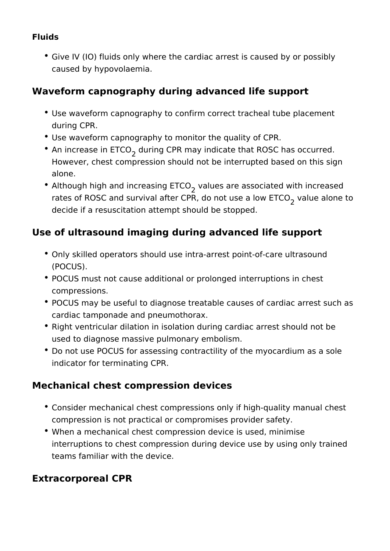#### **Fluids**

Give IV (IO) fluids only where the cardiac arrest is caused by or possibly caused by hypovolaemia.

### **Waveform capnography during advanced life support**

- Use waveform capnography to confirm correct tracheal tube placement during CPR.
- Use waveform capnography to monitor the quality of CPR.
- An increase in  $\mathsf{ETCO}_2$  during CPR may indicate that ROSC has occurred. However, chest compression should not be interrupted based on this sign alone.
- Although high and increasing  $\mathsf{ETCO}_2^{}$  values are associated with increased rates of ROSC and survival after CPR, do not use a low  $\mathsf{ETCO}_2^{}$  value alone to decide if a resuscitation attempt should be stopped.

## **Use of ultrasound imaging during advanced life support**

- Only skilled operators should use intra-arrest point-of-care ultrasound (POCUS).
- POCUS must not cause additional or prolonged interruptions in chest compressions.
- POCUS may be useful to diagnose treatable causes of cardiac arrest such as cardiac tamponade and pneumothorax.
- Right ventricular dilation in isolation during cardiac arrest should not be used to diagnose massive pulmonary embolism.
- Do not use POCUS for assessing contractility of the myocardium as a sole indicator for terminating CPR.

## **Mechanical chest compression devices**

- Consider mechanical chest compressions only if high-quality manual chest compression is not practical or compromises provider safety.
- When a mechanical chest compression device is used, minimise interruptions to chest compression during device use by using only trained teams familiar with the device.

## **Extracorporeal CPR**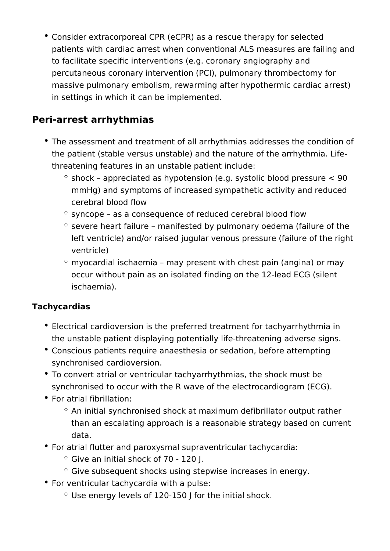Consider extracorporeal CPR (eCPR) as a rescue therapy for selected patients with cardiac arrest when conventional ALS measures are failing and to facilitate specific interventions (e.g. coronary angiography and percutaneous coronary intervention (PCI), pulmonary thrombectomy for massive pulmonary embolism, rewarming after hypothermic cardiac arrest) in settings in which it can be implemented.

## **Peri-arrest arrhythmias**

- The assessment and treatment of all arrhythmias addresses the condition of the patient (stable versus unstable) and the nature of the arrhythmia. Lifethreatening features in an unstable patient include:
	- $\degree$  shock appreciated as hypotension (e.g. systolic blood pressure  $\lt 90$ mmHg) and symptoms of increased sympathetic activity and reduced cerebral blood flow
	- $\degree$  syncope as a consequence of reduced cerebral blood flow
	- $\degree$  severe heart failure manifested by pulmonary oedema (failure of the left ventricle) and/or raised jugular venous pressure (failure of the right ventricle)
	- $\degree$  myocardial ischaemia may present with chest pain (angina) or may occur without pain as an isolated finding on the 12-lead ECG (silent ischaemia).

### **Tachycardias**

- Electrical cardioversion is the preferred treatment for tachyarrhythmia in the unstable patient displaying potentially life-threatening adverse signs.
- Conscious patients require anaesthesia or sedation, before attempting synchronised cardioversion.
- To convert atrial or ventricular tachyarrhythmias, the shock must be synchronised to occur with the R wave of the electrocardiogram (ECG).
- For atrial fibrillation:
	- $\degree$  An initial synchronised shock at maximum defibrillator output rather than an escalating approach is a reasonable strategy based on current data.
- For atrial flutter and paroxysmal supraventricular tachycardia:
	- $\circ$  Give an initial shock of 70 120 J.
	- $\degree$  Give subsequent shocks using stepwise increases in energy.
- For ventricular tachycardia with a pulse:
	- $\degree$  Use energy levels of 120-150 J for the initial shock.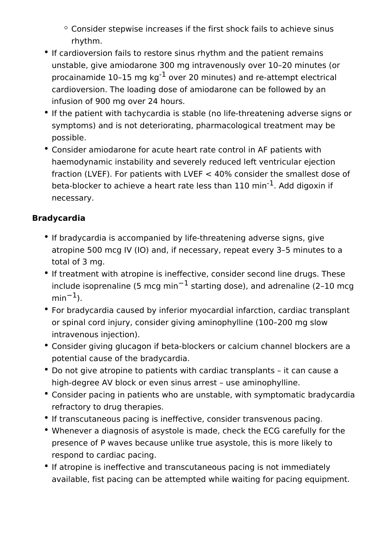- $\degree$  Consider stepwise increases if the first shock fails to achieve sinus rhythm.
- If cardioversion fails to restore sinus rhythm and the patient remains unstable, give amiodarone 300 mg intravenously over 10–20 minutes (or procainamide  $10-15$  mg kg<sup>-1</sup> over 20 minutes) and re-attempt electrical cardioversion. The loading dose of amiodarone can be followed by an infusion of 900 mg over 24 hours.
- If the patient with tachycardia is stable (no life-threatening adverse signs or symptoms) and is not deteriorating, pharmacological treatment may be possible.
- Consider amiodarone for acute heart rate control in AF patients with haemodynamic instability and severely reduced left ventricular ejection fraction (LVEF). For patients with LVEF < 40% consider the smallest dose of beta-blocker to achieve a heart rate less than  $110$  min<sup>-1</sup>. Add digoxin if necessary.

#### **Bradycardia**

- If bradycardia is accompanied by life-threatening adverse signs, give atropine 500 mcg IV (IO) and, if necessary, repeat every 3–5 minutes to a total of 3 mg.
- If treatment with atropine is ineffective, consider second line drugs. These include isoprenaline (5 mcg min−1 starting dose), and adrenaline (2–10 mcg  $min^{-1}$ ).
- For bradycardia caused by inferior myocardial infarction, cardiac transplant or spinal cord injury, consider giving aminophylline (100–200 mg slow intravenous injection).
- Consider giving glucagon if beta-blockers or calcium channel blockers are a potential cause of the bradycardia.
- Do not give atropine to patients with cardiac transplants it can cause a high-degree AV block or even sinus arrest – use aminophylline.
- Consider pacing in patients who are unstable, with symptomatic bradycardia refractory to drug therapies.
- If transcutaneous pacing is ineffective, consider transvenous pacing.
- Whenever a diagnosis of asystole is made, check the ECG carefully for the presence of P waves because unlike true asystole, this is more likely to respond to cardiac pacing.
- If atropine is ineffective and transcutaneous pacing is not immediately available, fist pacing can be attempted while waiting for pacing equipment.